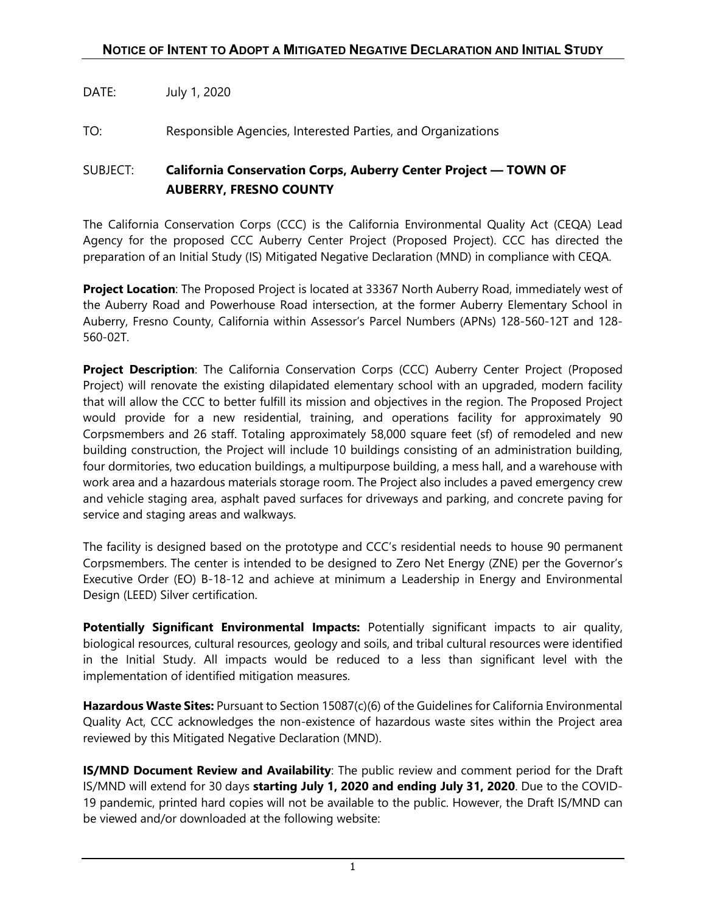## DATE: July 1, 2020

TO: Responsible Agencies, Interested Parties, and Organizations

## SUBJECT: **California Conservation Corps, Auberry Center Project — TOWN OF AUBERRY, FRESNO COUNTY**

The California Conservation Corps (CCC) is the California Environmental Quality Act (CEQA) Lead Agency for the proposed CCC Auberry Center Project (Proposed Project). CCC has directed the preparation of an Initial Study (IS) Mitigated Negative Declaration (MND) in compliance with CEQA.

**Project Location**: The Proposed Project is located at 33367 North Auberry Road, immediately west of the Auberry Road and Powerhouse Road intersection, at the former Auberry Elementary School in Auberry, Fresno County, California within Assessor's Parcel Numbers (APNs) 128-560-12T and 128- 560-02T.

**Project Description**: The California Conservation Corps (CCC) Auberry Center Project (Proposed Project) will renovate the existing dilapidated elementary school with an upgraded, modern facility that will allow the CCC to better fulfill its mission and objectives in the region. The Proposed Project would provide for a new residential, training, and operations facility for approximately 90 Corpsmembers and 26 staff. Totaling approximately 58,000 square feet (sf) of remodeled and new building construction, the Project will include 10 buildings consisting of an administration building, four dormitories, two education buildings, a multipurpose building, a mess hall, and a warehouse with work area and a hazardous materials storage room. The Project also includes a paved emergency crew and vehicle staging area, asphalt paved surfaces for driveways and parking, and concrete paving for service and staging areas and walkways.

The facility is designed based on the prototype and CCC's residential needs to house 90 permanent Corpsmembers. The center is intended to be designed to Zero Net Energy (ZNE) per the Governor's Executive Order (EO) B-18-12 and achieve at minimum a Leadership in Energy and Environmental Design (LEED) Silver certification.

Potentially Significant Environmental Impacts: Potentially significant impacts to air quality, biological resources, cultural resources, geology and soils, and tribal cultural resources were identified in the Initial Study. All impacts would be reduced to a less than significant level with the implementation of identified mitigation measures.

**Hazardous Waste Sites:** Pursuant to Section 15087(c)(6) of the Guidelines for California Environmental Quality Act, CCC acknowledges the non-existence of hazardous waste sites within the Project area reviewed by this Mitigated Negative Declaration (MND).

**IS/MND Document Review and Availability**: The public review and comment period for the Draft IS/MND will extend for 30 days **starting July 1, 2020 and ending July 31, 2020**. Due to the COVID-19 pandemic, printed hard copies will not be available to the public. However, the Draft IS/MND can be viewed and/or downloaded at the following website: